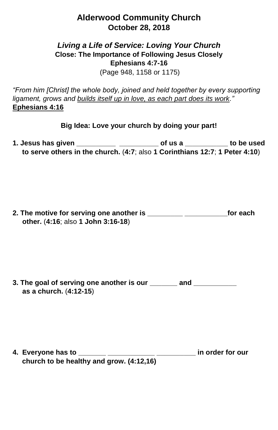## **Alderwood Community Church October 28, 2018**

## *Living a Life of Service: Loving Your Church* **Close: The Importance of Following Jesus Closely Ephesians 4:7-16**

(Page 948, 1158 or 1175)

*"From him [Christ] the whole body, joined and held together by every supporting ligament, grows and builds itself up in love, as each part does its work."*  **Ephesians 4:16**

**Big Idea: Love your church by doing your part!**

**1. Jesus has given \_\_\_\_\_\_\_\_\_\_ \_\_\_\_\_\_\_\_\_\_ of us a \_\_\_\_\_\_\_\_\_\_\_ to be used to serve others in the church.** (**4:7**; also **1 Corinthians 12:7**; **1 Peter 4:10**)

**2. The motive for serving one another is \_\_\_\_\_\_\_\_\_ \_\_\_\_\_\_\_\_\_\_\_for each other.** (**4:16**; also **1 John 3:16-18**)

**3. The goal of serving one another is our \_\_\_\_\_\_\_ and \_\_\_\_\_\_\_\_\_\_\_ as a church.** (**4:12-15**)

**4. Everyone has to \_\_\_\_\_\_\_ \_\_\_\_\_\_\_\_\_\_\_\_ \_\_\_\_\_\_\_\_\_\_ in order for our church to be healthy and grow. (4:12,16)**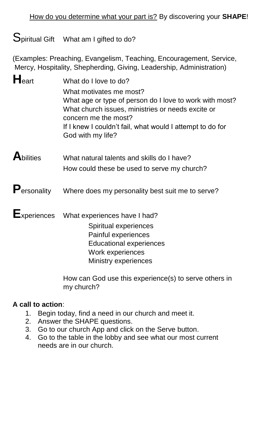# Spiritual Gift What am I gifted to do?

(Examples: Preaching, Evangelism, Teaching, Encouragement, Service, Mercy, Hospitality, Shepherding, Giving, Leadership, Administration)

- **H**eart What do I love to do? What motivates me most? What age or type of person do I love to work with most? What church issues, ministries or needs excite or concern me the most? If I knew I couldn't fail, what would I attempt to do for God with my life?
- **A**bilities What natural talents and skills do I have? How could these be used to serve my church?

# **P**ersonality Where does my personality best suit me to serve?

**E**xperiences What experiences have I had?

Spiritual experiences Painful experiences Educational experiences Work experiences Ministry experiences

How can God use this experience(s) to serve others in my church?

### **A call to action**:

- 1. Begin today, find a need in our church and meet it.
- 2. Answer the SHAPE questions.
- 3. Go to our church App and click on the Serve button.
- 4. Go to the table in the lobby and see what our most current needs are in our church.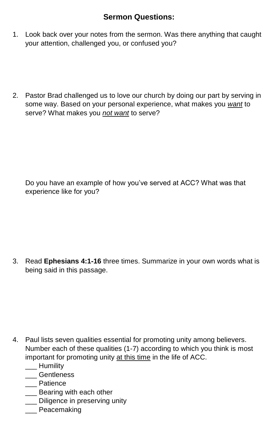### **Sermon Questions:**

- 1. Look back over your notes from the sermon. Was there anything that caught your attention, challenged you, or confused you?
- 2. Pastor Brad challenged us to love our church by doing our part by serving in some way. Based on your personal experience, what makes you *want* to serve? What makes you *not want* to serve?

Do you have an example of how you've served at ACC? What was that experience like for you?

3. Read **Ephesians 4:1-16** three times. Summarize in your own words what is being said in this passage.

- 4. Paul lists seven qualities essential for promoting unity among believers. Number each of these qualities (1-7) according to which you think is most important for promoting unity at this time in the life of ACC.
	- \_\_\_ Humility
	- \_\_\_ Gentleness
	- \_\_\_ Patience
	- **\_\_\_** Bearing with each other
	- \_\_\_ Diligence in preserving unity
	- Peacemaking